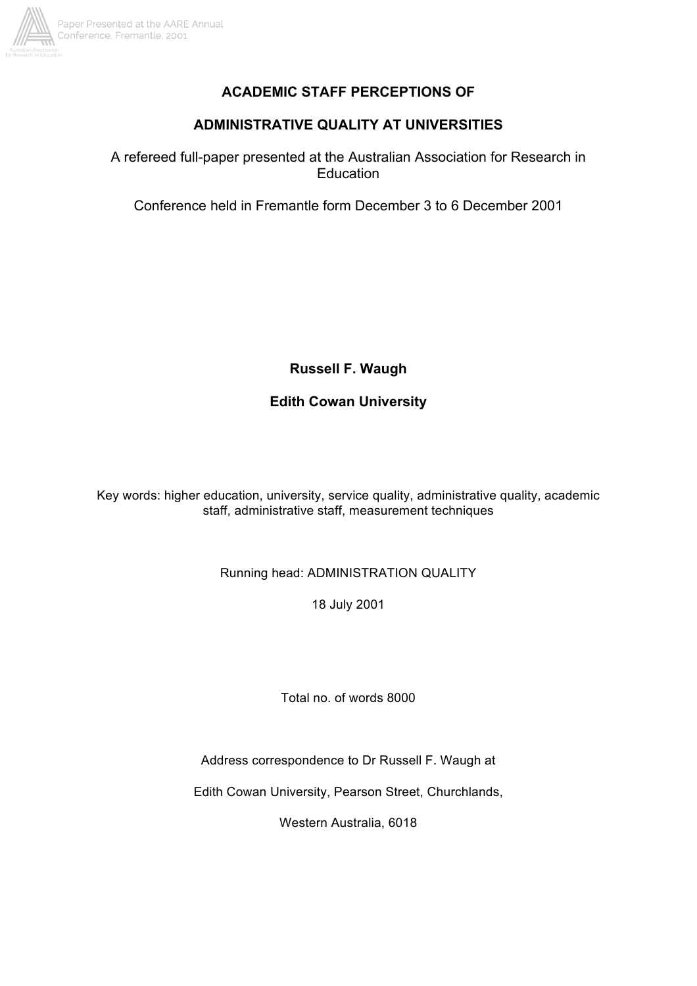

# **ACADEMIC STAFF PERCEPTIONS OF**

# **ADMINISTRATIVE QUALITY AT UNIVERSITIES**

A refereed full-paper presented at the Australian Association for Research in **Education** 

Conference held in Fremantle form December 3 to 6 December 2001

**Russell F. Waugh**

# **Edith Cowan University**

Key words: higher education, university, service quality, administrative quality, academic staff, administrative staff, measurement techniques

Running head: ADMINISTRATION QUALITY

18 July 2001

Total no. of words 8000

Address correspondence to Dr Russell F. Waugh at

Edith Cowan University, Pearson Street, Churchlands,

Western Australia, 6018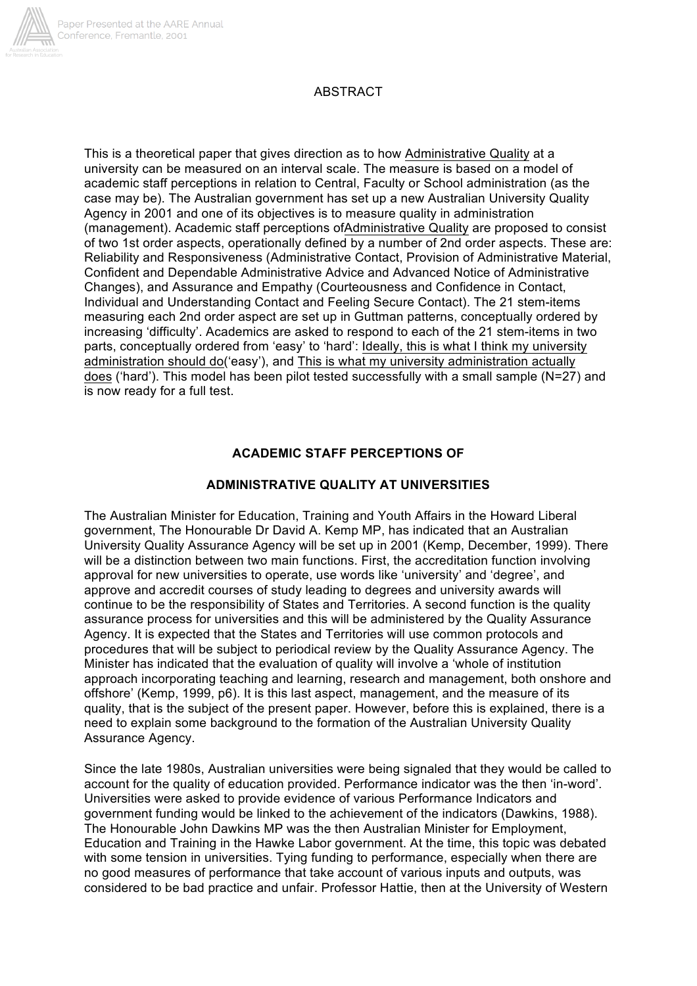

## ABSTRACT

This is a theoretical paper that gives direction as to how Administrative Quality at a university can be measured on an interval scale. The measure is based on a model of academic staff perceptions in relation to Central, Faculty or School administration (as the case may be). The Australian government has set up a new Australian University Quality Agency in 2001 and one of its objectives is to measure quality in administration (management). Academic staff perceptions ofAdministrative Quality are proposed to consist of two 1st order aspects, operationally defined by a number of 2nd order aspects. These are: Reliability and Responsiveness (Administrative Contact, Provision of Administrative Material, Confident and Dependable Administrative Advice and Advanced Notice of Administrative Changes), and Assurance and Empathy (Courteousness and Confidence in Contact, Individual and Understanding Contact and Feeling Secure Contact). The 21 stem-items measuring each 2nd order aspect are set up in Guttman patterns, conceptually ordered by increasing 'difficulty'. Academics are asked to respond to each of the 21 stem-items in two parts, conceptually ordered from 'easy' to 'hard': Ideally, this is what I think my university administration should do('easy'), and This is what my university administration actually does ('hard'). This model has been pilot tested successfully with a small sample (N=27) and is now ready for a full test.

# **ACADEMIC STAFF PERCEPTIONS OF**

# **ADMINISTRATIVE QUALITY AT UNIVERSITIES**

The Australian Minister for Education, Training and Youth Affairs in the Howard Liberal government, The Honourable Dr David A. Kemp MP, has indicated that an Australian University Quality Assurance Agency will be set up in 2001 (Kemp, December, 1999). There will be a distinction between two main functions. First, the accreditation function involving approval for new universities to operate, use words like 'university' and 'degree', and approve and accredit courses of study leading to degrees and university awards will continue to be the responsibility of States and Territories. A second function is the quality assurance process for universities and this will be administered by the Quality Assurance Agency. It is expected that the States and Territories will use common protocols and procedures that will be subject to periodical review by the Quality Assurance Agency. The Minister has indicated that the evaluation of quality will involve a 'whole of institution approach incorporating teaching and learning, research and management, both onshore and offshore' (Kemp, 1999, p6). It is this last aspect, management, and the measure of its quality, that is the subject of the present paper. However, before this is explained, there is a need to explain some background to the formation of the Australian University Quality Assurance Agency.

Since the late 1980s, Australian universities were being signaled that they would be called to account for the quality of education provided. Performance indicator was the then 'in-word'. Universities were asked to provide evidence of various Performance Indicators and government funding would be linked to the achievement of the indicators (Dawkins, 1988). The Honourable John Dawkins MP was the then Australian Minister for Employment, Education and Training in the Hawke Labor government. At the time, this topic was debated with some tension in universities. Tying funding to performance, especially when there are no good measures of performance that take account of various inputs and outputs, was considered to be bad practice and unfair. Professor Hattie, then at the University of Western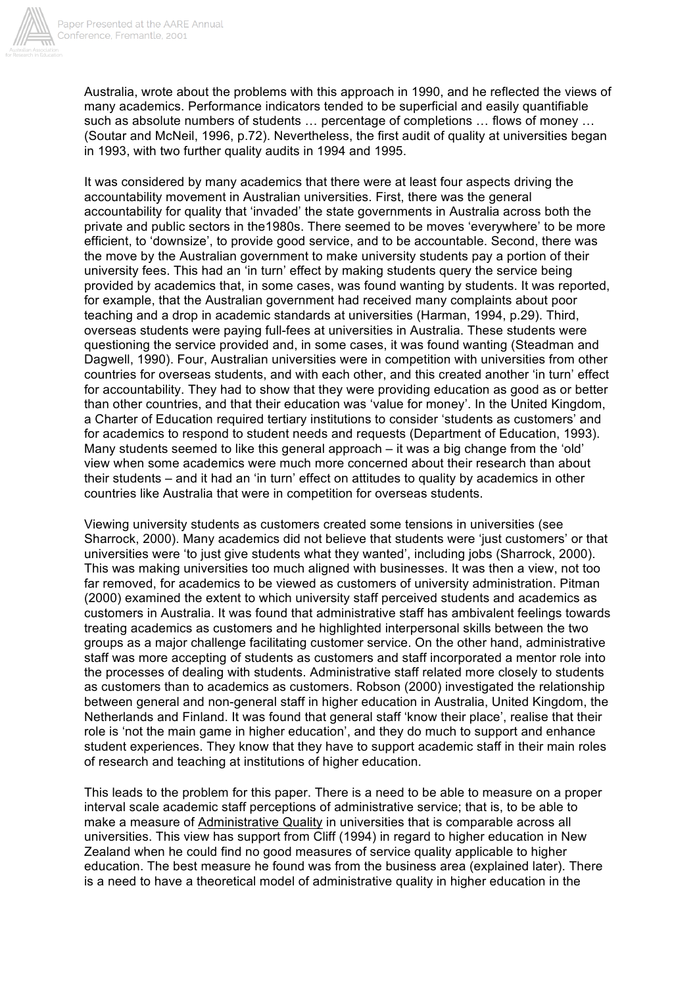

Australia, wrote about the problems with this approach in 1990, and he reflected the views of many academics. Performance indicators tended to be superficial and easily quantifiable such as absolute numbers of students … percentage of completions … flows of money … (Soutar and McNeil, 1996, p.72). Nevertheless, the first audit of quality at universities began in 1993, with two further quality audits in 1994 and 1995.

It was considered by many academics that there were at least four aspects driving the accountability movement in Australian universities. First, there was the general accountability for quality that 'invaded' the state governments in Australia across both the private and public sectors in the1980s. There seemed to be moves 'everywhere' to be more efficient, to 'downsize', to provide good service, and to be accountable. Second, there was the move by the Australian government to make university students pay a portion of their university fees. This had an 'in turn' effect by making students query the service being provided by academics that, in some cases, was found wanting by students. It was reported, for example, that the Australian government had received many complaints about poor teaching and a drop in academic standards at universities (Harman, 1994, p.29). Third, overseas students were paying full-fees at universities in Australia. These students were questioning the service provided and, in some cases, it was found wanting (Steadman and Dagwell, 1990). Four, Australian universities were in competition with universities from other countries for overseas students, and with each other, and this created another 'in turn' effect for accountability. They had to show that they were providing education as good as or better than other countries, and that their education was 'value for money'. In the United Kingdom, a Charter of Education required tertiary institutions to consider 'students as customers' and for academics to respond to student needs and requests (Department of Education, 1993). Many students seemed to like this general approach – it was a big change from the 'old' view when some academics were much more concerned about their research than about their students – and it had an 'in turn' effect on attitudes to quality by academics in other countries like Australia that were in competition for overseas students.

Viewing university students as customers created some tensions in universities (see Sharrock, 2000). Many academics did not believe that students were 'just customers' or that universities were 'to just give students what they wanted', including jobs (Sharrock, 2000). This was making universities too much aligned with businesses. It was then a view, not too far removed, for academics to be viewed as customers of university administration. Pitman (2000) examined the extent to which university staff perceived students and academics as customers in Australia. It was found that administrative staff has ambivalent feelings towards treating academics as customers and he highlighted interpersonal skills between the two groups as a major challenge facilitating customer service. On the other hand, administrative staff was more accepting of students as customers and staff incorporated a mentor role into the processes of dealing with students. Administrative staff related more closely to students as customers than to academics as customers. Robson (2000) investigated the relationship between general and non-general staff in higher education in Australia, United Kingdom, the Netherlands and Finland. It was found that general staff 'know their place', realise that their role is 'not the main game in higher education', and they do much to support and enhance student experiences. They know that they have to support academic staff in their main roles of research and teaching at institutions of higher education.

This leads to the problem for this paper. There is a need to be able to measure on a proper interval scale academic staff perceptions of administrative service; that is, to be able to make a measure of Administrative Quality in universities that is comparable across all universities. This view has support from Cliff (1994) in regard to higher education in New Zealand when he could find no good measures of service quality applicable to higher education. The best measure he found was from the business area (explained later). There is a need to have a theoretical model of administrative quality in higher education in the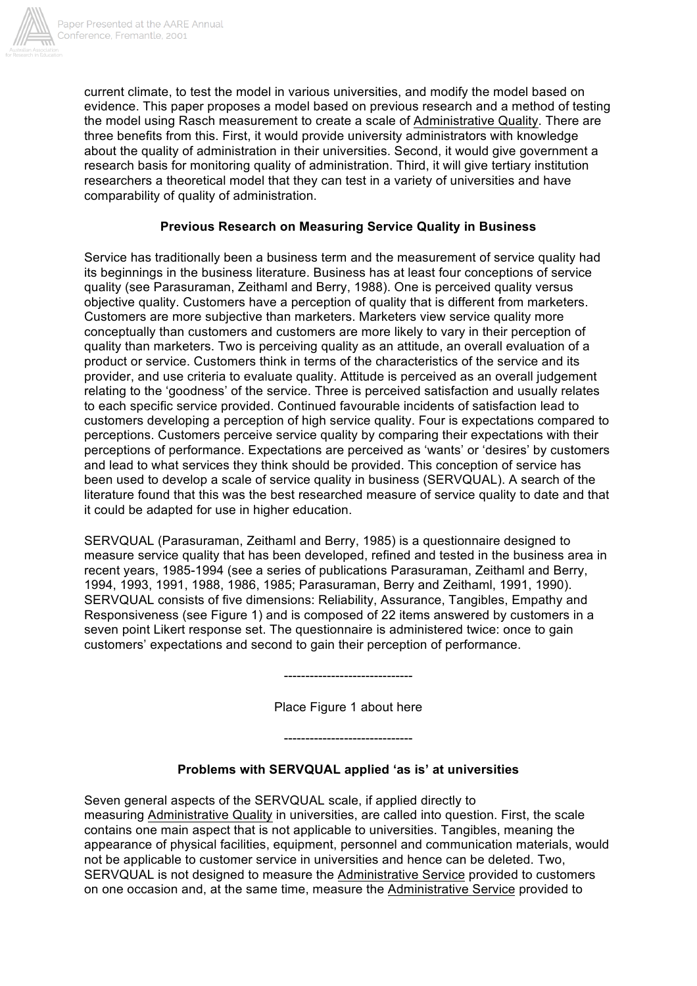

current climate, to test the model in various universities, and modify the model based on evidence. This paper proposes a model based on previous research and a method of testing the model using Rasch measurement to create a scale of Administrative Quality. There are three benefits from this. First, it would provide university administrators with knowledge about the quality of administration in their universities. Second, it would give government a research basis for monitoring quality of administration. Third, it will give tertiary institution researchers a theoretical model that they can test in a variety of universities and have comparability of quality of administration.

#### **Previous Research on Measuring Service Quality in Business**

Service has traditionally been a business term and the measurement of service quality had its beginnings in the business literature. Business has at least four conceptions of service quality (see Parasuraman, Zeithaml and Berry, 1988). One is perceived quality versus objective quality. Customers have a perception of quality that is different from marketers. Customers are more subjective than marketers. Marketers view service quality more conceptually than customers and customers are more likely to vary in their perception of quality than marketers. Two is perceiving quality as an attitude, an overall evaluation of a product or service. Customers think in terms of the characteristics of the service and its provider, and use criteria to evaluate quality. Attitude is perceived as an overall judgement relating to the 'goodness' of the service. Three is perceived satisfaction and usually relates to each specific service provided. Continued favourable incidents of satisfaction lead to customers developing a perception of high service quality. Four is expectations compared to perceptions. Customers perceive service quality by comparing their expectations with their perceptions of performance. Expectations are perceived as 'wants' or 'desires' by customers and lead to what services they think should be provided. This conception of service has been used to develop a scale of service quality in business (SERVQUAL). A search of the literature found that this was the best researched measure of service quality to date and that it could be adapted for use in higher education.

SERVQUAL (Parasuraman, Zeithaml and Berry, 1985) is a questionnaire designed to measure service quality that has been developed, refined and tested in the business area in recent years, 1985-1994 (see a series of publications Parasuraman, Zeithaml and Berry, 1994, 1993, 1991, 1988, 1986, 1985; Parasuraman, Berry and Zeithaml, 1991, 1990). SERVQUAL consists of five dimensions: Reliability, Assurance, Tangibles, Empathy and Responsiveness (see Figure 1) and is composed of 22 items answered by customers in a seven point Likert response set. The questionnaire is administered twice: once to gain customers' expectations and second to gain their perception of performance.

Place Figure 1 about here

 $-$ 

------------------------------

#### **Problems with SERVQUAL applied 'as is' at universities**

Seven general aspects of the SERVQUAL scale, if applied directly to measuring Administrative Quality in universities, are called into question. First, the scale contains one main aspect that is not applicable to universities. Tangibles, meaning the appearance of physical facilities, equipment, personnel and communication materials, would not be applicable to customer service in universities and hence can be deleted. Two, SERVQUAL is not designed to measure the Administrative Service provided to customers on one occasion and, at the same time, measure the Administrative Service provided to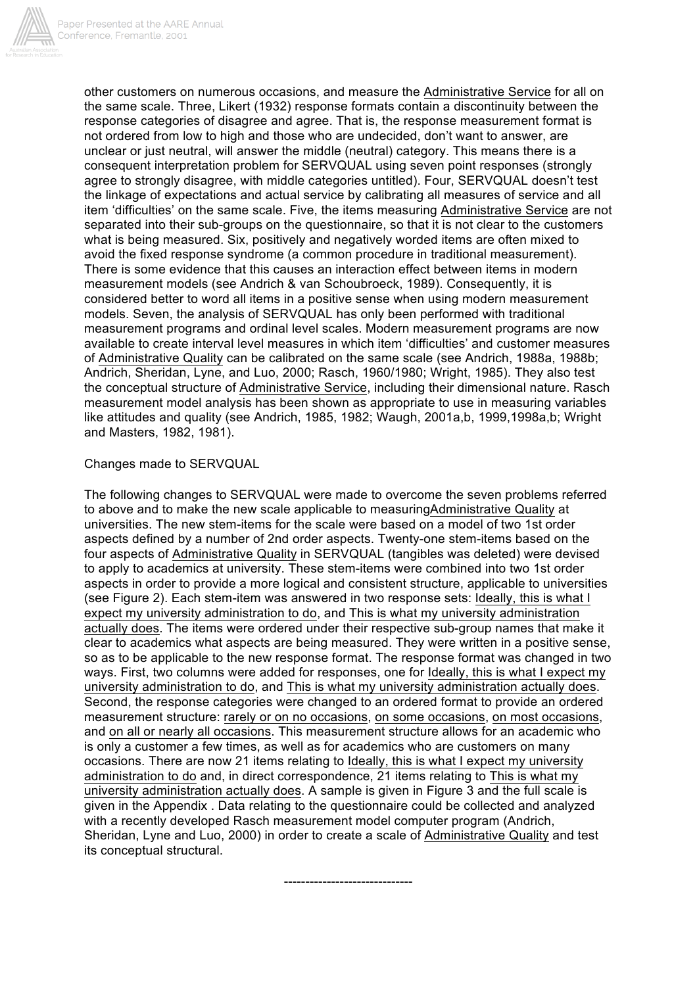

other customers on numerous occasions, and measure the Administrative Service for all on the same scale. Three, Likert (1932) response formats contain a discontinuity between the response categories of disagree and agree. That is, the response measurement format is not ordered from low to high and those who are undecided, don't want to answer, are unclear or just neutral, will answer the middle (neutral) category. This means there is a consequent interpretation problem for SERVQUAL using seven point responses (strongly agree to strongly disagree, with middle categories untitled). Four, SERVQUAL doesn't test the linkage of expectations and actual service by calibrating all measures of service and all item 'difficulties' on the same scale. Five, the items measuring Administrative Service are not separated into their sub-groups on the questionnaire, so that it is not clear to the customers what is being measured. Six, positively and negatively worded items are often mixed to avoid the fixed response syndrome (a common procedure in traditional measurement). There is some evidence that this causes an interaction effect between items in modern measurement models (see Andrich & van Schoubroeck, 1989). Consequently, it is considered better to word all items in a positive sense when using modern measurement models. Seven, the analysis of SERVQUAL has only been performed with traditional measurement programs and ordinal level scales. Modern measurement programs are now available to create interval level measures in which item 'difficulties' and customer measures of Administrative Quality can be calibrated on the same scale (see Andrich, 1988a, 1988b; Andrich, Sheridan, Lyne, and Luo, 2000; Rasch, 1960/1980; Wright, 1985). They also test the conceptual structure of Administrative Service, including their dimensional nature. Rasch measurement model analysis has been shown as appropriate to use in measuring variables like attitudes and quality (see Andrich, 1985, 1982; Waugh, 2001a,b, 1999,1998a,b; Wright and Masters, 1982, 1981).

#### Changes made to SERVQUAL

The following changes to SERVQUAL were made to overcome the seven problems referred to above and to make the new scale applicable to measuringAdministrative Quality at universities. The new stem-items for the scale were based on a model of two 1st order aspects defined by a number of 2nd order aspects. Twenty-one stem-items based on the four aspects of Administrative Quality in SERVQUAL (tangibles was deleted) were devised to apply to academics at university. These stem-items were combined into two 1st order aspects in order to provide a more logical and consistent structure, applicable to universities (see Figure 2). Each stem-item was answered in two response sets: Ideally, this is what I expect my university administration to do, and This is what my university administration actually does. The items were ordered under their respective sub-group names that make it clear to academics what aspects are being measured. They were written in a positive sense, so as to be applicable to the new response format. The response format was changed in two ways. First, two columns were added for responses, one for Ideally, this is what I expect my university administration to do, and This is what my university administration actually does. Second, the response categories were changed to an ordered format to provide an ordered measurement structure: rarely or on no occasions, on some occasions, on most occasions, and on all or nearly all occasions. This measurement structure allows for an academic who is only a customer a few times, as well as for academics who are customers on many occasions. There are now 21 items relating to Ideally, this is what I expect my university administration to do and, in direct correspondence, 21 items relating to This is what my university administration actually does. A sample is given in Figure 3 and the full scale is given in the Appendix . Data relating to the questionnaire could be collected and analyzed with a recently developed Rasch measurement model computer program (Andrich, Sheridan, Lyne and Luo, 2000) in order to create a scale of Administrative Quality and test its conceptual structural.

------------------------------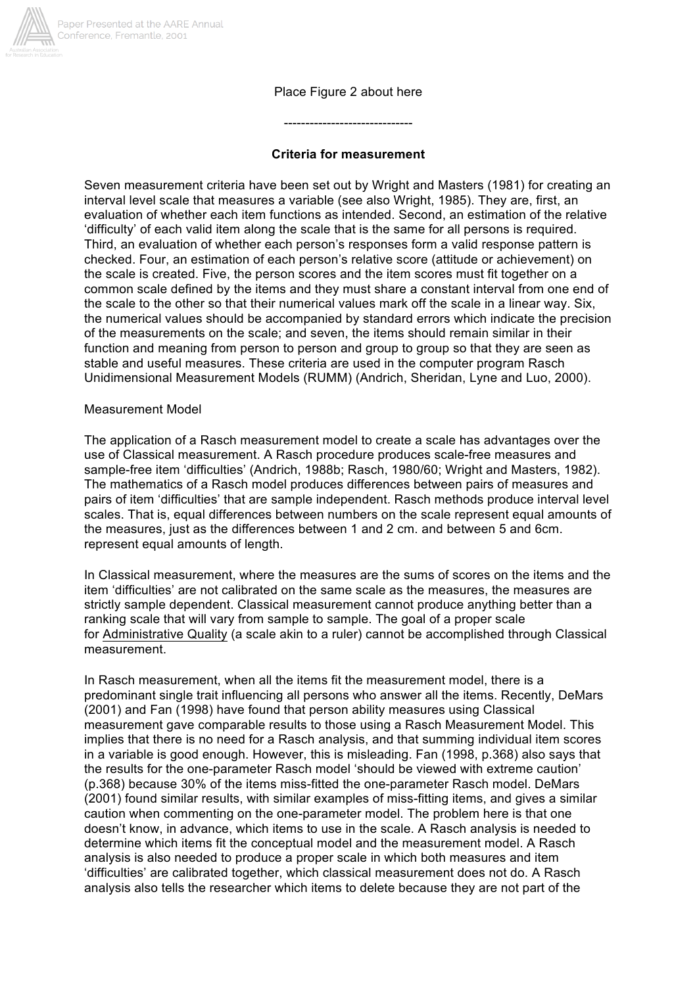

Place Figure 2 about here

------------------------------

#### **Criteria for measurement**

Seven measurement criteria have been set out by Wright and Masters (1981) for creating an interval level scale that measures a variable (see also Wright, 1985). They are, first, an evaluation of whether each item functions as intended. Second, an estimation of the relative 'difficulty' of each valid item along the scale that is the same for all persons is required. Third, an evaluation of whether each person's responses form a valid response pattern is checked. Four, an estimation of each person's relative score (attitude or achievement) on the scale is created. Five, the person scores and the item scores must fit together on a common scale defined by the items and they must share a constant interval from one end of the scale to the other so that their numerical values mark off the scale in a linear way. Six, the numerical values should be accompanied by standard errors which indicate the precision of the measurements on the scale; and seven, the items should remain similar in their function and meaning from person to person and group to group so that they are seen as stable and useful measures. These criteria are used in the computer program Rasch Unidimensional Measurement Models (RUMM) (Andrich, Sheridan, Lyne and Luo, 2000).

#### Measurement Model

The application of a Rasch measurement model to create a scale has advantages over the use of Classical measurement. A Rasch procedure produces scale-free measures and sample-free item 'difficulties' (Andrich, 1988b; Rasch, 1980/60; Wright and Masters, 1982). The mathematics of a Rasch model produces differences between pairs of measures and pairs of item 'difficulties' that are sample independent. Rasch methods produce interval level scales. That is, equal differences between numbers on the scale represent equal amounts of the measures, just as the differences between 1 and 2 cm. and between 5 and 6cm. represent equal amounts of length.

In Classical measurement, where the measures are the sums of scores on the items and the item 'difficulties' are not calibrated on the same scale as the measures, the measures are strictly sample dependent. Classical measurement cannot produce anything better than a ranking scale that will vary from sample to sample. The goal of a proper scale for Administrative Quality (a scale akin to a ruler) cannot be accomplished through Classical measurement.

In Rasch measurement, when all the items fit the measurement model, there is a predominant single trait influencing all persons who answer all the items. Recently, DeMars (2001) and Fan (1998) have found that person ability measures using Classical measurement gave comparable results to those using a Rasch Measurement Model. This implies that there is no need for a Rasch analysis, and that summing individual item scores in a variable is good enough. However, this is misleading. Fan (1998, p.368) also says that the results for the one-parameter Rasch model 'should be viewed with extreme caution' (p.368) because 30% of the items miss-fitted the one-parameter Rasch model. DeMars (2001) found similar results, with similar examples of miss-fitting items, and gives a similar caution when commenting on the one-parameter model. The problem here is that one doesn't know, in advance, which items to use in the scale. A Rasch analysis is needed to determine which items fit the conceptual model and the measurement model. A Rasch analysis is also needed to produce a proper scale in which both measures and item 'difficulties' are calibrated together, which classical measurement does not do. A Rasch analysis also tells the researcher which items to delete because they are not part of the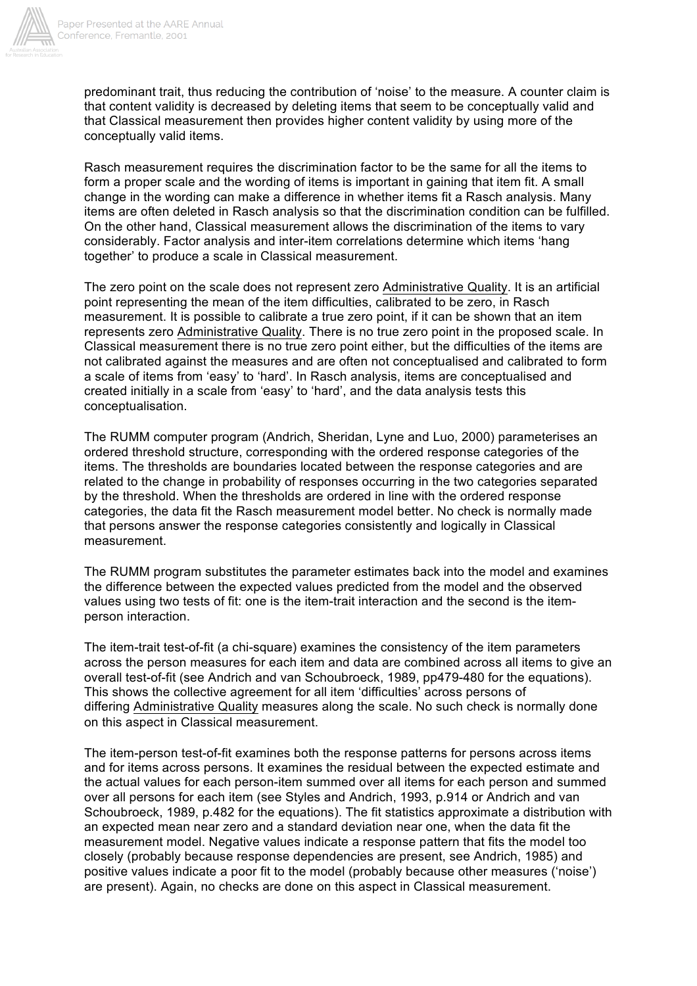

predominant trait, thus reducing the contribution of 'noise' to the measure. A counter claim is that content validity is decreased by deleting items that seem to be conceptually valid and that Classical measurement then provides higher content validity by using more of the conceptually valid items.

Rasch measurement requires the discrimination factor to be the same for all the items to form a proper scale and the wording of items is important in gaining that item fit. A small change in the wording can make a difference in whether items fit a Rasch analysis. Many items are often deleted in Rasch analysis so that the discrimination condition can be fulfilled. On the other hand, Classical measurement allows the discrimination of the items to vary considerably. Factor analysis and inter-item correlations determine which items 'hang together' to produce a scale in Classical measurement.

The zero point on the scale does not represent zero Administrative Quality. It is an artificial point representing the mean of the item difficulties, calibrated to be zero, in Rasch measurement. It is possible to calibrate a true zero point, if it can be shown that an item represents zero Administrative Quality. There is no true zero point in the proposed scale. In Classical measurement there is no true zero point either, but the difficulties of the items are not calibrated against the measures and are often not conceptualised and calibrated to form a scale of items from 'easy' to 'hard'. In Rasch analysis, items are conceptualised and created initially in a scale from 'easy' to 'hard', and the data analysis tests this conceptualisation.

The RUMM computer program (Andrich, Sheridan, Lyne and Luo, 2000) parameterises an ordered threshold structure, corresponding with the ordered response categories of the items. The thresholds are boundaries located between the response categories and are related to the change in probability of responses occurring in the two categories separated by the threshold. When the thresholds are ordered in line with the ordered response categories, the data fit the Rasch measurement model better. No check is normally made that persons answer the response categories consistently and logically in Classical measurement.

The RUMM program substitutes the parameter estimates back into the model and examines the difference between the expected values predicted from the model and the observed values using two tests of fit: one is the item-trait interaction and the second is the itemperson interaction.

The item-trait test-of-fit (a chi-square) examines the consistency of the item parameters across the person measures for each item and data are combined across all items to give an overall test-of-fit (see Andrich and van Schoubroeck, 1989, pp479-480 for the equations). This shows the collective agreement for all item 'difficulties' across persons of differing Administrative Quality measures along the scale. No such check is normally done on this aspect in Classical measurement.

The item-person test-of-fit examines both the response patterns for persons across items and for items across persons. It examines the residual between the expected estimate and the actual values for each person-item summed over all items for each person and summed over all persons for each item (see Styles and Andrich, 1993, p.914 or Andrich and van Schoubroeck, 1989, p.482 for the equations). The fit statistics approximate a distribution with an expected mean near zero and a standard deviation near one, when the data fit the measurement model. Negative values indicate a response pattern that fits the model too closely (probably because response dependencies are present, see Andrich, 1985) and positive values indicate a poor fit to the model (probably because other measures ('noise') are present). Again, no checks are done on this aspect in Classical measurement.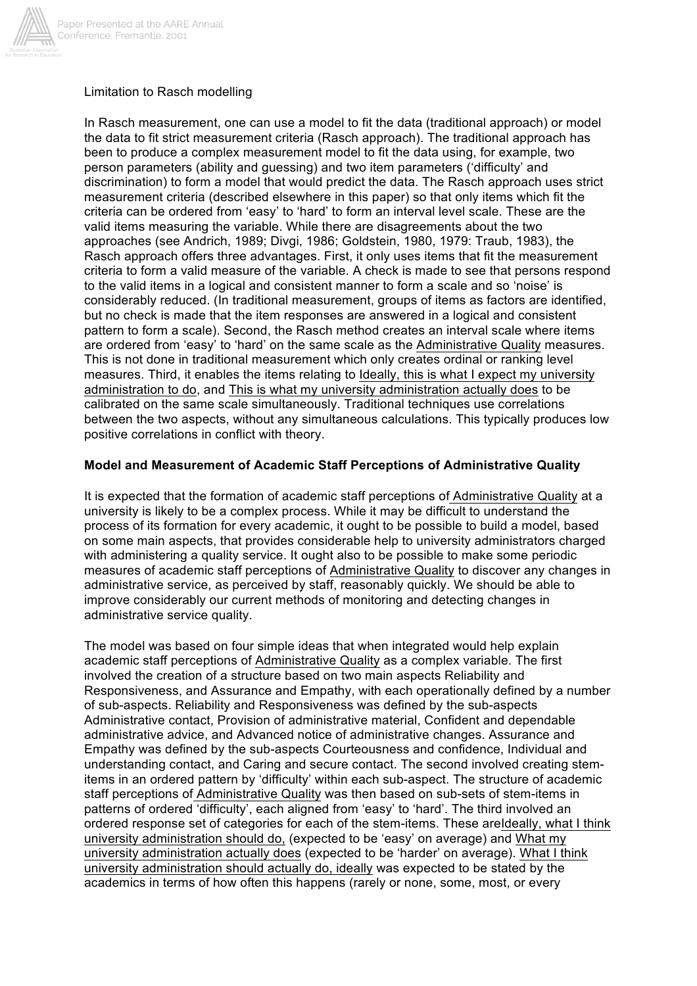

# Limitation to Rasch modelling

In Rasch measurement, one can use a model to fit the data (traditional approach) or model the data to fit strict measurement criteria (Rasch approach). The traditional approach has been to produce a complex measurement model to fit the data using, for example, two person parameters (ability and guessing) and two item parameters ('difficulty' and discrimination) to form a model that would predict the data. The Rasch approach uses strict measurement criteria (described elsewhere in this paper) so that only items which fit the criteria can be ordered from 'easy' to 'hard' to form an interval level scale. These are the valid items measuring the variable. While there are disagreements about the two approaches (see Andrich, 1989; Divgi, 1986; Goldstein, 1980, 1979: Traub, 1983), the Rasch approach offers three advantages. First, it only uses items that fit the measurement criteria to form a valid measure of the variable. A check is made to see that persons respond to the valid items in a logical and consistent manner to form a scale and so 'noise' is considerably reduced. (In traditional measurement, groups of items as factors are identified, but no check is made that the item responses are answered in a logical and consistent pattern to form a scale). Second, the Rasch method creates an interval scale where items are ordered from 'easy' to 'hard' on the same scale as the Administrative Quality measures. This is not done in traditional measurement which only creates ordinal or ranking level measures. Third, it enables the items relating to Ideally, this is what I expect my university administration to do, and This is what my university administration actually does to be calibrated on the same scale simultaneously. Traditional techniques use correlations between the two aspects, without any simultaneous calculations. This typically produces low positive correlations in conflict with theory.

# **Model and Measurement of Academic Staff Perceptions of Administrative Quality**

It is expected that the formation of academic staff perceptions of Administrative Quality at a university is likely to be a complex process. While it may be difficult to understand the process of its formation for every academic, it ought to be possible to build a model, based on some main aspects, that provides considerable help to university administrators charged with administering a quality service. It ought also to be possible to make some periodic measures of academic staff perceptions of Administrative Quality to discover any changes in administrative service, as perceived by staff, reasonably quickly. We should be able to improve considerably our current methods of monitoring and detecting changes in administrative service quality.

The model was based on four simple ideas that when integrated would help explain academic staff perceptions of Administrative Quality as a complex variable. The first involved the creation of a structure based on two main aspects Reliability and Responsiveness, and Assurance and Empathy, with each operationally defined by a number of sub-aspects. Reliability and Responsiveness was defined by the sub-aspects Administrative contact, Provision of administrative material, Confident and dependable administrative advice, and Advanced notice of administrative changes. Assurance and Empathy was defined by the sub-aspects Courteousness and confidence, Individual and understanding contact, and Caring and secure contact. The second involved creating stemitems in an ordered pattern by 'difficulty' within each sub-aspect. The structure of academic staff perceptions of Administrative Quality was then based on sub-sets of stem-items in patterns of ordered 'difficulty', each aligned from 'easy' to 'hard'. The third involved an ordered response set of categories for each of the stem-items. These areIdeally, what I think university administration should do, (expected to be 'easy' on average) and What my university administration actually does (expected to be 'harder' on average). What I think university administration should actually do, ideally was expected to be stated by the academics in terms of how often this happens (rarely or none, some, most, or every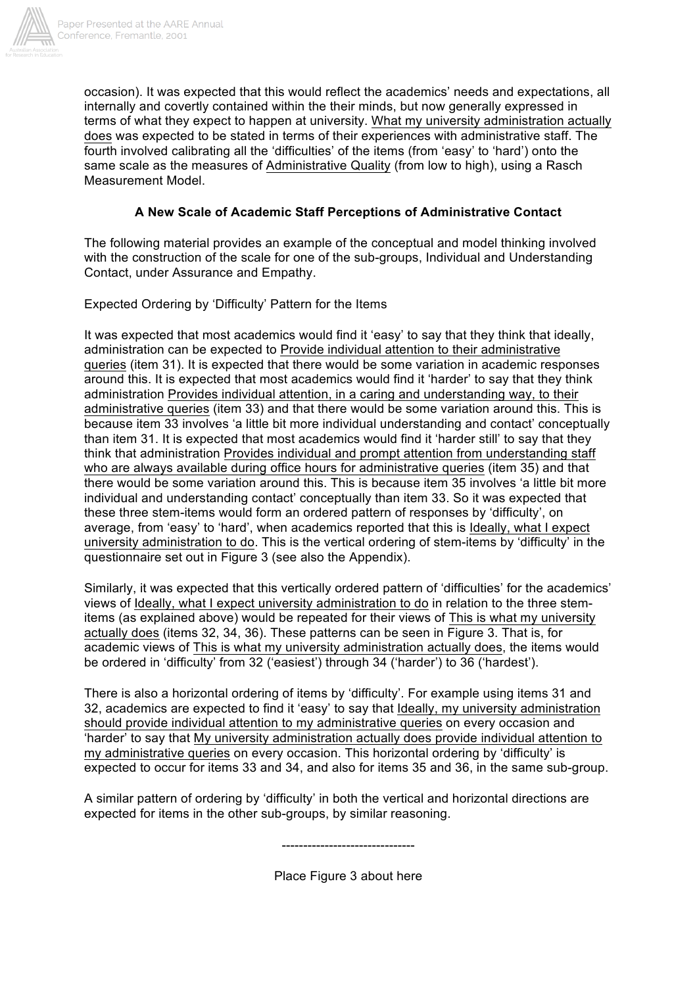

occasion). It was expected that this would reflect the academics' needs and expectations, all internally and covertly contained within the their minds, but now generally expressed in terms of what they expect to happen at university. What my university administration actually does was expected to be stated in terms of their experiences with administrative staff. The fourth involved calibrating all the 'difficulties' of the items (from 'easy' to 'hard') onto the same scale as the measures of Administrative Quality (from low to high), using a Rasch Measurement Model.

# **A New Scale of Academic Staff Perceptions of Administrative Contact**

The following material provides an example of the conceptual and model thinking involved with the construction of the scale for one of the sub-groups, Individual and Understanding Contact, under Assurance and Empathy.

Expected Ordering by 'Difficulty' Pattern for the Items

It was expected that most academics would find it 'easy' to say that they think that ideally, administration can be expected to Provide individual attention to their administrative queries (item 31). It is expected that there would be some variation in academic responses around this. It is expected that most academics would find it 'harder' to say that they think administration Provides individual attention, in a caring and understanding way, to their administrative queries (item 33) and that there would be some variation around this. This is because item 33 involves 'a little bit more individual understanding and contact' conceptually than item 31. It is expected that most academics would find it 'harder still' to say that they think that administration Provides individual and prompt attention from understanding staff who are always available during office hours for administrative queries (item 35) and that there would be some variation around this. This is because item 35 involves 'a little bit more individual and understanding contact' conceptually than item 33. So it was expected that these three stem-items would form an ordered pattern of responses by 'difficulty', on average, from 'easy' to 'hard', when academics reported that this is Ideally, what I expect university administration to do. This is the vertical ordering of stem-items by 'difficulty' in the questionnaire set out in Figure 3 (see also the Appendix).

Similarly, it was expected that this vertically ordered pattern of 'difficulties' for the academics' views of Ideally, what I expect university administration to do in relation to the three stemitems (as explained above) would be repeated for their views of This is what my university actually does (items 32, 34, 36). These patterns can be seen in Figure 3. That is, for academic views of This is what my university administration actually does, the items would be ordered in 'difficulty' from 32 ('easiest') through 34 ('harder') to 36 ('hardest').

There is also a horizontal ordering of items by 'difficulty'. For example using items 31 and 32, academics are expected to find it 'easy' to say that Ideally, my university administration should provide individual attention to my administrative queries on every occasion and 'harder' to say that My university administration actually does provide individual attention to my administrative queries on every occasion. This horizontal ordering by 'difficulty' is expected to occur for items 33 and 34, and also for items 35 and 36, in the same sub-group.

A similar pattern of ordering by 'difficulty' in both the vertical and horizontal directions are expected for items in the other sub-groups, by similar reasoning.

-------------------------------

Place Figure 3 about here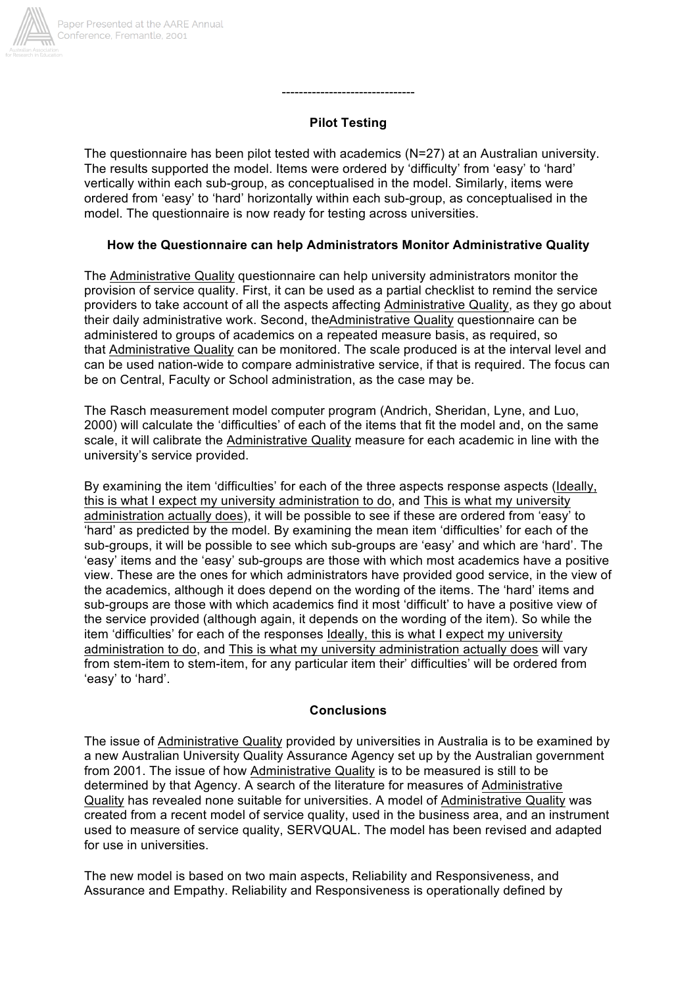

**Pilot Testing**

-------------------------------

The questionnaire has been pilot tested with academics (N=27) at an Australian university. The results supported the model. Items were ordered by 'difficulty' from 'easy' to 'hard' vertically within each sub-group, as conceptualised in the model. Similarly, items were ordered from 'easy' to 'hard' horizontally within each sub-group, as conceptualised in the model. The questionnaire is now ready for testing across universities.

#### **How the Questionnaire can help Administrators Monitor Administrative Quality**

The Administrative Quality questionnaire can help university administrators monitor the provision of service quality. First, it can be used as a partial checklist to remind the service providers to take account of all the aspects affecting Administrative Quality, as they go about their daily administrative work. Second, theAdministrative Quality questionnaire can be administered to groups of academics on a repeated measure basis, as required, so that Administrative Quality can be monitored. The scale produced is at the interval level and can be used nation-wide to compare administrative service, if that is required. The focus can be on Central, Faculty or School administration, as the case may be.

The Rasch measurement model computer program (Andrich, Sheridan, Lyne, and Luo, 2000) will calculate the 'difficulties' of each of the items that fit the model and, on the same scale, it will calibrate the Administrative Quality measure for each academic in line with the university's service provided.

By examining the item 'difficulties' for each of the three aspects response aspects (Ideally, this is what I expect my university administration to do, and This is what my university administration actually does), it will be possible to see if these are ordered from 'easy' to 'hard' as predicted by the model. By examining the mean item 'difficulties' for each of the sub-groups, it will be possible to see which sub-groups are 'easy' and which are 'hard'. The 'easy' items and the 'easy' sub-groups are those with which most academics have a positive view. These are the ones for which administrators have provided good service, in the view of the academics, although it does depend on the wording of the items. The 'hard' items and sub-groups are those with which academics find it most 'difficult' to have a positive view of the service provided (although again, it depends on the wording of the item). So while the item 'difficulties' for each of the responses Ideally, this is what I expect my university administration to do, and This is what my university administration actually does will vary from stem-item to stem-item, for any particular item their' difficulties' will be ordered from 'easy' to 'hard'.

#### **Conclusions**

The issue of Administrative Quality provided by universities in Australia is to be examined by a new Australian University Quality Assurance Agency set up by the Australian government from 2001. The issue of how Administrative Quality is to be measured is still to be determined by that Agency. A search of the literature for measures of Administrative Quality has revealed none suitable for universities. A model of Administrative Quality was created from a recent model of service quality, used in the business area, and an instrument used to measure of service quality, SERVQUAL. The model has been revised and adapted for use in universities.

The new model is based on two main aspects, Reliability and Responsiveness, and Assurance and Empathy. Reliability and Responsiveness is operationally defined by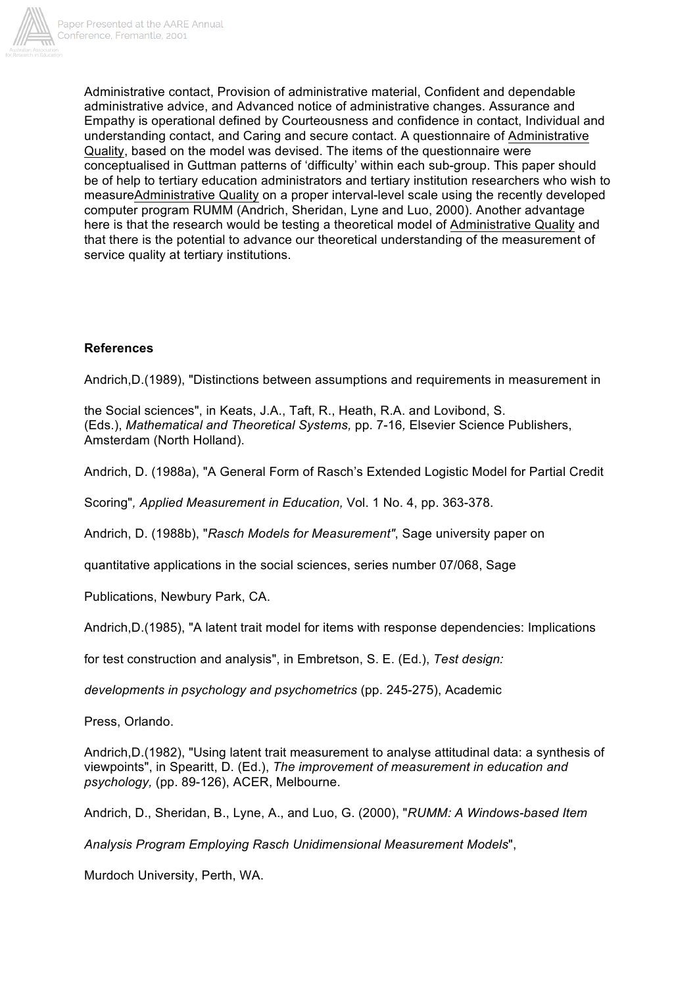

Administrative contact, Provision of administrative material, Confident and dependable administrative advice, and Advanced notice of administrative changes. Assurance and Empathy is operational defined by Courteousness and confidence in contact, Individual and understanding contact, and Caring and secure contact. A questionnaire of Administrative Quality, based on the model was devised. The items of the questionnaire were conceptualised in Guttman patterns of 'difficulty' within each sub-group. This paper should be of help to tertiary education administrators and tertiary institution researchers who wish to measureAdministrative Quality on a proper interval-level scale using the recently developed computer program RUMM (Andrich, Sheridan, Lyne and Luo, 2000). Another advantage here is that the research would be testing a theoretical model of Administrative Quality and that there is the potential to advance our theoretical understanding of the measurement of service quality at tertiary institutions.

#### **References**

Andrich,D.(1989), "Distinctions between assumptions and requirements in measurement in

the Social sciences", in Keats, J.A., Taft, R., Heath, R.A. and Lovibond, S. (Eds.), *Mathematical and Theoretical Systems,* pp. 7-16*,* Elsevier Science Publishers, Amsterdam (North Holland).

Andrich, D. (1988a), "A General Form of Rasch's Extended Logistic Model for Partial Credit

Scoring"*, Applied Measurement in Education,* Vol. 1 No. 4, pp. 363-378.

Andrich, D. (1988b), "*Rasch Models for Measurement"*, Sage university paper on

quantitative applications in the social sciences, series number 07/068, Sage

Publications, Newbury Park, CA.

Andrich,D.(1985), "A latent trait model for items with response dependencies: Implications

for test construction and analysis", in Embretson, S. E. (Ed.), *Test design:*

*developments in psychology and psychometrics* (pp. 245-275), Academic

Press, Orlando.

Andrich,D.(1982), "Using latent trait measurement to analyse attitudinal data: a synthesis of viewpoints", in Spearitt, D. (Ed.), *The improvement of measurement in education and psychology,* (pp. 89-126), ACER, Melbourne.

Andrich, D., Sheridan, B., Lyne, A., and Luo, G. (2000), "*RUMM: A Windows-based Item*

*Analysis Program Employing Rasch Unidimensional Measurement Models*",

Murdoch University, Perth, WA.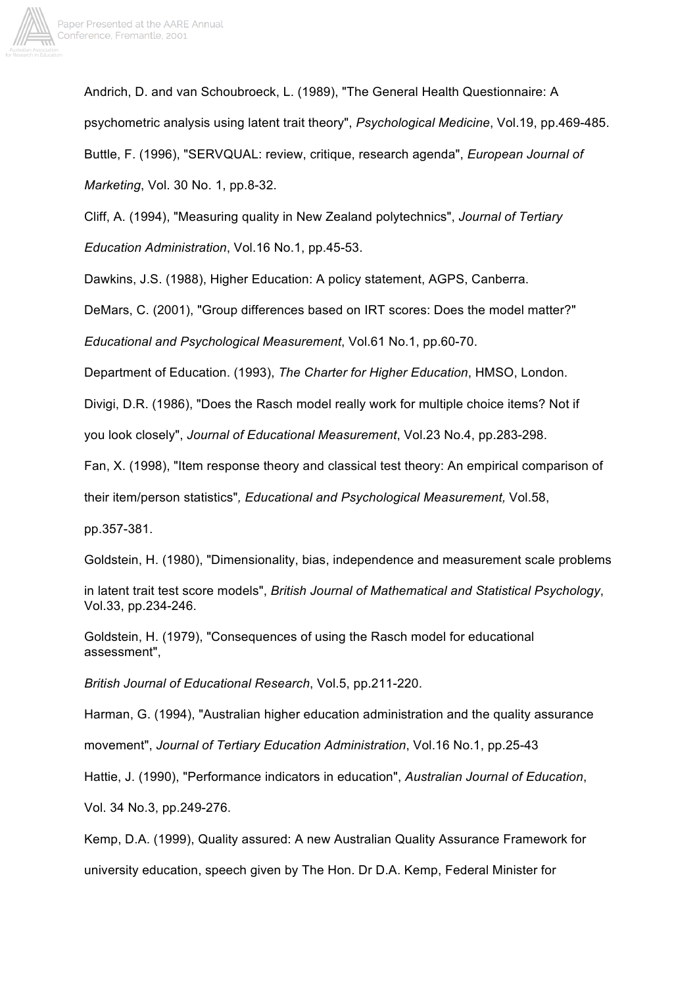

Andrich, D. and van Schoubroeck, L. (1989), "The General Health Questionnaire: A psychometric analysis using latent trait theory", *Psychological Medicine*, Vol.19, pp.469-485. Buttle, F. (1996), "SERVQUAL: review, critique, research agenda", *European Journal of Marketing*, Vol. 30 No. 1, pp.8-32.

Cliff, A. (1994), "Measuring quality in New Zealand polytechnics", *Journal of Tertiary Education Administration*, Vol.16 No.1, pp.45-53.

Dawkins, J.S. (1988), Higher Education: A policy statement, AGPS, Canberra.

DeMars, C. (2001), "Group differences based on IRT scores: Does the model matter?"

*Educational and Psychological Measurement*, Vol.61 No.1, pp.60-70.

Department of Education. (1993), *The Charter for Higher Education*, HMSO, London.

Divigi, D.R. (1986), "Does the Rasch model really work for multiple choice items? Not if

you look closely", *Journal of Educational Measurement*, Vol.23 No.4, pp.283-298.

Fan, X. (1998), "Item response theory and classical test theory: An empirical comparison of

their item/person statistics"*, Educational and Psychological Measurement,* Vol.58,

pp.357-381.

Goldstein, H. (1980), "Dimensionality, bias, independence and measurement scale problems

in latent trait test score models", *British Journal of Mathematical and Statistical Psychology*, Vol.33, pp.234-246.

Goldstein, H. (1979), "Consequences of using the Rasch model for educational assessment",

*British Journal of Educational Research*, Vol.5, pp.211-220.

Harman, G. (1994), "Australian higher education administration and the quality assurance

movement", *Journal of Tertiary Education Administration*, Vol.16 No.1, pp.25-43

Hattie, J. (1990), "Performance indicators in education", *Australian Journal of Education*,

Vol. 34 No.3, pp.249-276.

Kemp, D.A. (1999), Quality assured: A new Australian Quality Assurance Framework for university education, speech given by The Hon. Dr D.A. Kemp, Federal Minister for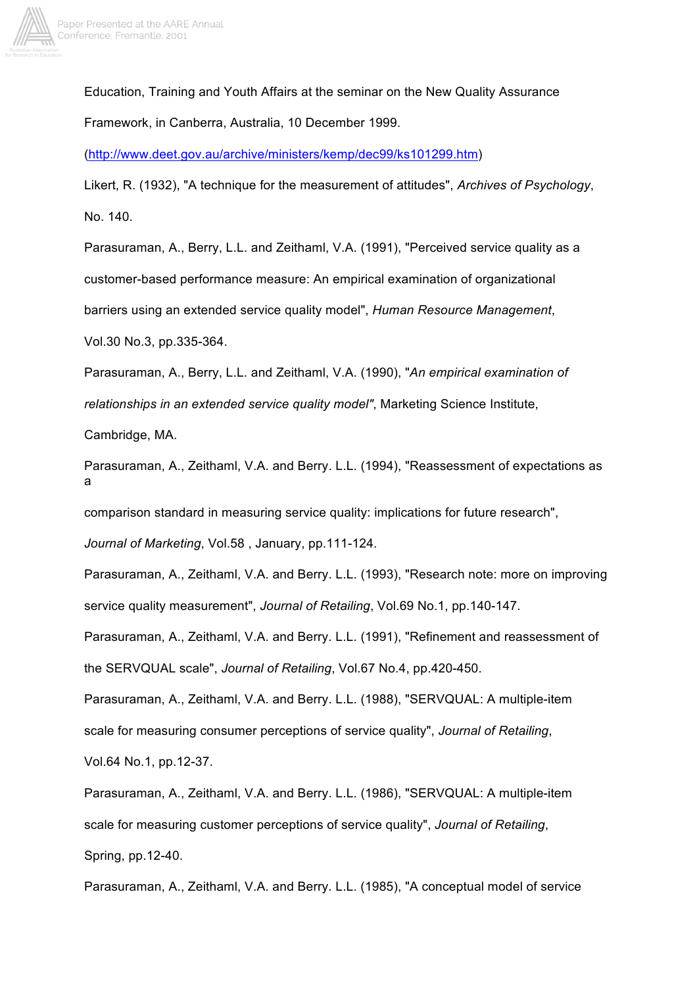

Education, Training and Youth Affairs at the seminar on the New Quality Assurance Framework, in Canberra, Australia, 10 December 1999.

(http://www.deet.gov.au/archive/ministers/kemp/dec99/ks101299.htm)

Likert, R. (1932), "A technique for the measurement of attitudes", *Archives of Psychology*, No. 140.

Parasuraman, A., Berry, L.L. and Zeithaml, V.A. (1991), "Perceived service quality as a customer-based performance measure: An empirical examination of organizational barriers using an extended service quality model", *Human Resource Management*, Vol.30 No.3, pp.335-364.

Parasuraman, A., Berry, L.L. and Zeithaml, V.A. (1990), "*An empirical examination of relationships in an extended service quality model"*, Marketing Science Institute,

Cambridge, MA.

Parasuraman, A., Zeithaml, V.A. and Berry. L.L. (1994), "Reassessment of expectations as a

comparison standard in measuring service quality: implications for future research",

*Journal of Marketing*, Vol.58 , January, pp.111-124.

Parasuraman, A., Zeithaml, V.A. and Berry. L.L. (1993), "Research note: more on improving service quality measurement", *Journal of Retailing*, Vol.69 No.1, pp.140-147.

Parasuraman, A., Zeithaml, V.A. and Berry. L.L. (1991), "Refinement and reassessment of the SERVQUAL scale", *Journal of Retailing*, Vol.67 No.4, pp.420-450.

Parasuraman, A., Zeithaml, V.A. and Berry. L.L. (1988), "SERVQUAL: A multiple-item scale for measuring consumer perceptions of service quality", *Journal of Retailing*, Vol.64 No.1, pp.12-37.

Parasuraman, A., Zeithaml, V.A. and Berry. L.L. (1986), "SERVQUAL: A multiple-item scale for measuring customer perceptions of service quality", *Journal of Retailing*, Spring, pp.12-40.

Parasuraman, A., Zeithaml, V.A. and Berry. L.L. (1985), "A conceptual model of service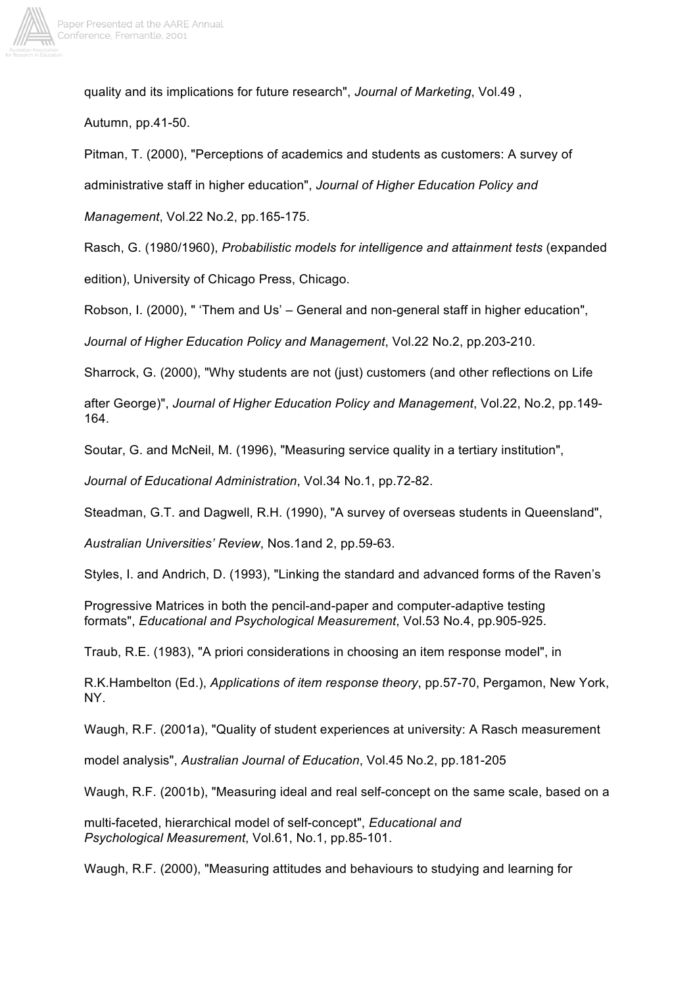

quality and its implications for future research", *Journal of Marketing*, Vol.49 ,

Autumn, pp.41-50.

Pitman, T. (2000), "Perceptions of academics and students as customers: A survey of

administrative staff in higher education", *Journal of Higher Education Policy and*

*Management*, Vol.22 No.2, pp.165-175.

Rasch, G. (1980/1960), *Probabilistic models for intelligence and attainment tests* (expanded

edition), University of Chicago Press, Chicago.

Robson, I. (2000), " 'Them and Us' – General and non-general staff in higher education",

*Journal of Higher Education Policy and Management*, Vol.22 No.2, pp.203-210.

Sharrock, G. (2000), "Why students are not (just) customers (and other reflections on Life

after George)", *Journal of Higher Education Policy and Management*, Vol.22, No.2, pp.149- 164.

Soutar, G. and McNeil, M. (1996), "Measuring service quality in a tertiary institution",

*Journal of Educational Administration*, Vol.34 No.1, pp.72-82.

Steadman, G.T. and Dagwell, R.H. (1990), "A survey of overseas students in Queensland",

*Australian Universities' Review*, Nos.1and 2, pp.59-63.

Styles, I. and Andrich, D. (1993), "Linking the standard and advanced forms of the Raven's

Progressive Matrices in both the pencil-and-paper and computer-adaptive testing formats", *Educational and Psychological Measurement*, Vol.53 No.4, pp.905-925.

Traub, R.E. (1983), "A priori considerations in choosing an item response model", in

R.K.Hambelton (Ed.), *Applications of item response theory*, pp.57-70, Pergamon, New York, NY.

Waugh, R.F. (2001a), "Quality of student experiences at university: A Rasch measurement

model analysis", *Australian Journal of Education*, Vol.45 No.2, pp.181-205

Waugh, R.F. (2001b), "Measuring ideal and real self-concept on the same scale, based on a

multi-faceted, hierarchical model of self-concept", *Educational and Psychological Measurement*, Vol.61, No.1, pp.85-101.

Waugh, R.F. (2000), "Measuring attitudes and behaviours to studying and learning for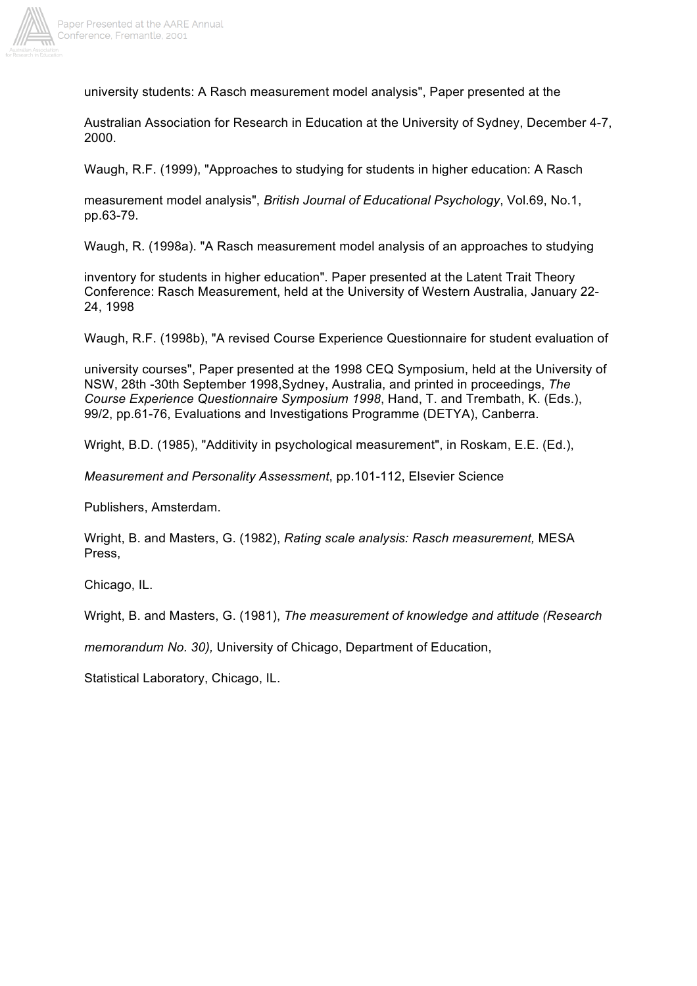

university students: A Rasch measurement model analysis", Paper presented at the

Australian Association for Research in Education at the University of Sydney, December 4-7, 2000.

Waugh, R.F. (1999), "Approaches to studying for students in higher education: A Rasch

measurement model analysis", *British Journal of Educational Psychology*, Vol.69, No.1, pp.63-79.

Waugh, R. (1998a). "A Rasch measurement model analysis of an approaches to studying

inventory for students in higher education". Paper presented at the Latent Trait Theory Conference: Rasch Measurement, held at the University of Western Australia, January 22- 24, 1998

Waugh, R.F. (1998b), "A revised Course Experience Questionnaire for student evaluation of

university courses", Paper presented at the 1998 CEQ Symposium, held at the University of NSW, 28th -30th September 1998,Sydney, Australia, and printed in proceedings, *The Course Experience Questionnaire Symposium 1998*, Hand, T. and Trembath, K. (Eds.), 99/2, pp.61-76, Evaluations and Investigations Programme (DETYA), Canberra.

Wright, B.D. (1985), "Additivity in psychological measurement", in Roskam, E.E. (Ed.),

*Measurement and Personality Assessment*, pp.101-112, Elsevier Science

Publishers, Amsterdam.

Wright, B. and Masters, G. (1982), *Rating scale analysis: Rasch measurement,* MESA Press,

Chicago, IL.

Wright, B. and Masters, G. (1981), *The measurement of knowledge and attitude (Research*

*memorandum No. 30),* University of Chicago, Department of Education,

Statistical Laboratory, Chicago, IL.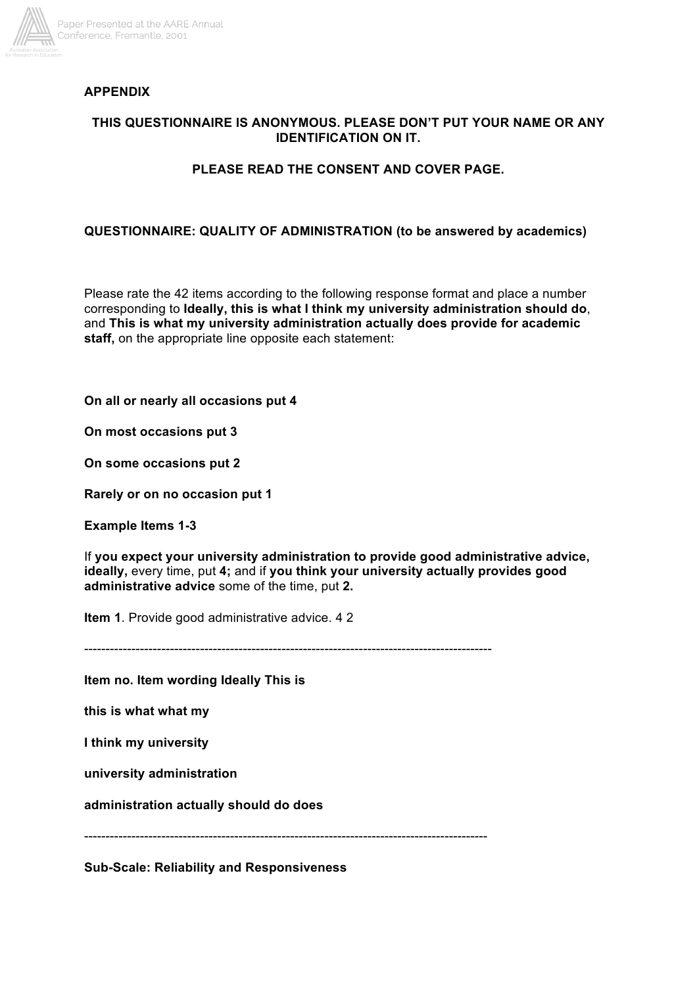

# **APPENDIX**

# **THIS QUESTIONNAIRE IS ANONYMOUS. PLEASE DON'T PUT YOUR NAME OR ANY IDENTIFICATION ON IT.**

# **PLEASE READ THE CONSENT AND COVER PAGE.**

#### **QUESTIONNAIRE: QUALITY OF ADMINISTRATION (to be answered by academics)**

Please rate the 42 items according to the following response format and place a number corresponding to **Ideally, this is what I think my university administration should do**, and **This is what my university administration actually does provide for academic staff,** on the appropriate line opposite each statement:

**On all or nearly all occasions put 4**

**On most occasions put 3**

**On some occasions put 2**

**Rarely or on no occasion put 1**

**Example Items 1-3**

If **you expect your university administration to provide good administrative advice, ideally,** every time, put **4;** and if **you think your university actually provides good administrative advice** some of the time, put **2.**

**Item 1**. Provide good administrative advice. 4 2

-----------------------------------------------------------------------------------------------

**Item no. Item wording Ideally This is**

**this is what what my**

**I think my university**

**university administration**

**administration actually should do does**

----------------------------------------------------------------------------------------------

**Sub-Scale: Reliability and Responsiveness**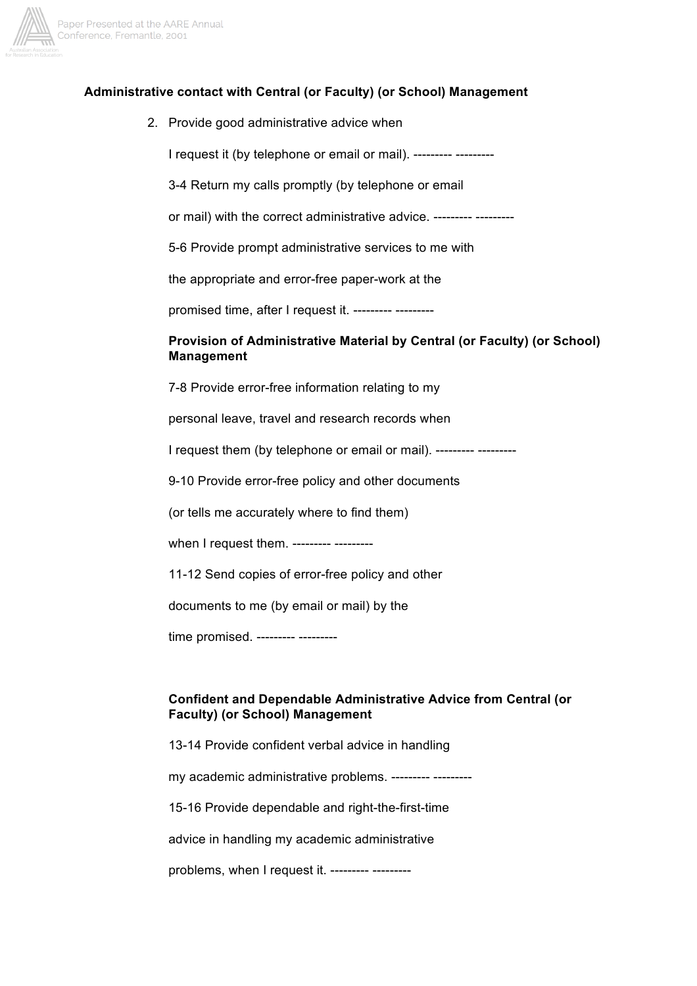

# **Administrative contact with Central (or Faculty) (or School) Management**

2. Provide good administrative advice when

I request it (by telephone or email or mail). --------- ---------

3-4 Return my calls promptly (by telephone or email

or mail) with the correct administrative advice. --------- ---------

5-6 Provide prompt administrative services to me with

the appropriate and error-free paper-work at the

promised time, after I request it. --------- ---------

#### **Provision of Administrative Material by Central (or Faculty) (or School) Management**

7-8 Provide error-free information relating to my

personal leave, travel and research records when

I request them (by telephone or email or mail). --------- ---------

9-10 Provide error-free policy and other documents

(or tells me accurately where to find them)

when I request them. --------- ---------

11-12 Send copies of error-free policy and other

documents to me (by email or mail) by the

time promised. --------- ---------

# **Confident and Dependable Administrative Advice from Central (or Faculty) (or School) Management**

13-14 Provide confident verbal advice in handling

my academic administrative problems. --------- ---------

15-16 Provide dependable and right-the-first-time

advice in handling my academic administrative

problems, when I request it. --------- ---------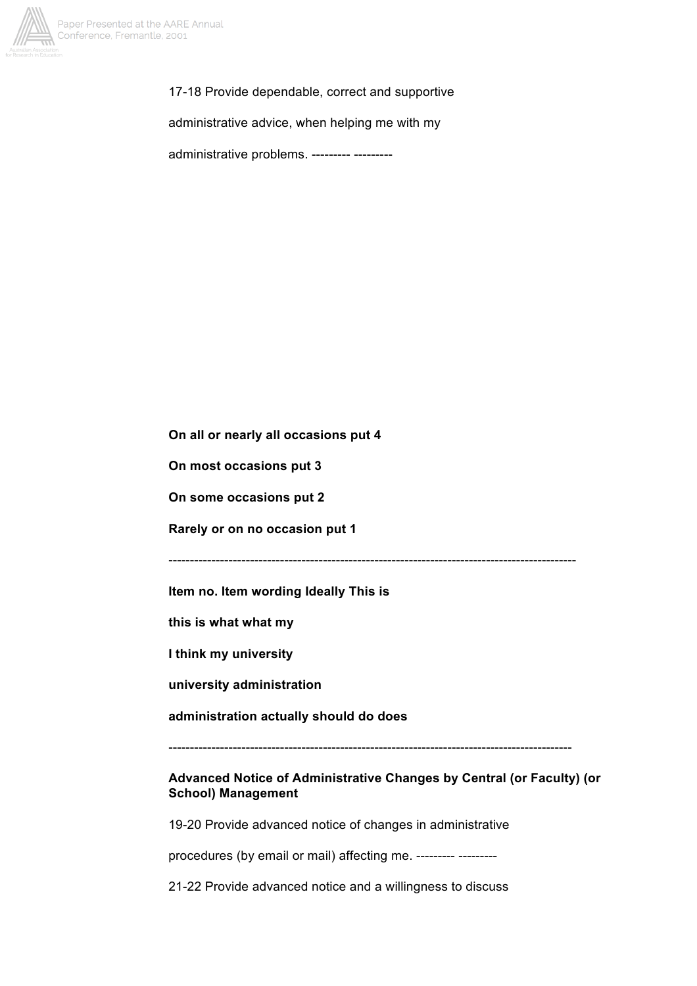

Paper Presented at the AARE Annual<br>Conference, Fremantle, 2001

17-18 Provide dependable, correct and supportive

administrative advice, when helping me with my

administrative problems. --------- ---------

**On all or nearly all occasions put 4**

**On most occasions put 3**

**On some occasions put 2**

**Rarely or on no occasion put 1**

-----------------------------------------------------------------------------------------------

**Item no. Item wording Ideally This is**

**this is what what my**

**I think my university**

**university administration**

**administration actually should do does**

----------------------------------------------------------------------------------------------

# **Advanced Notice of Administrative Changes by Central (or Faculty) (or School) Management**

19-20 Provide advanced notice of changes in administrative

procedures (by email or mail) affecting me. --------- ---------

21-22 Provide advanced notice and a willingness to discuss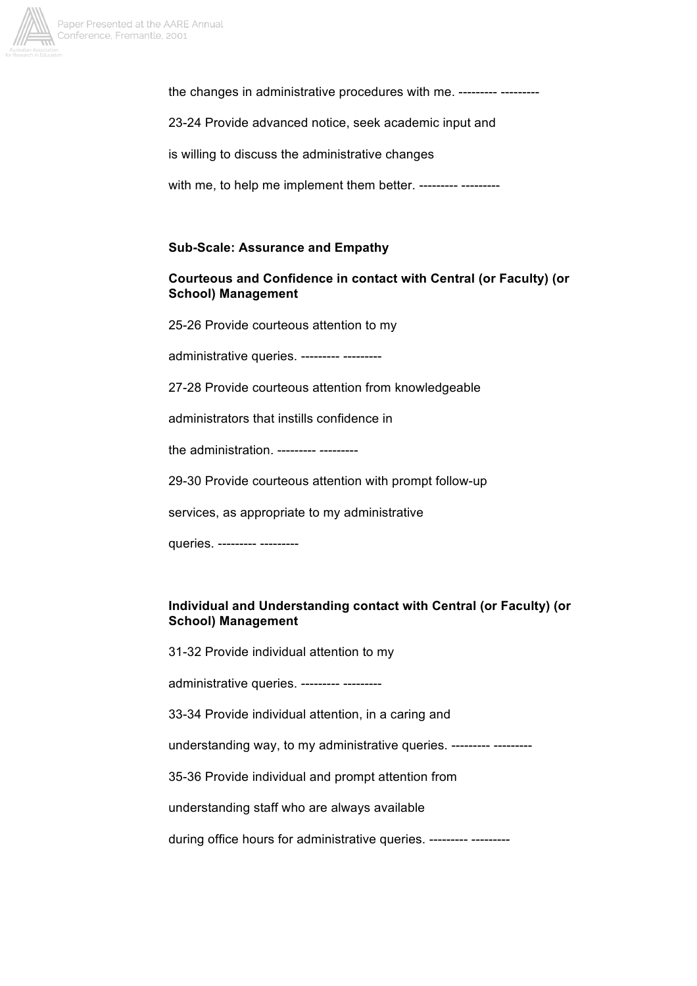

Paper Presented at the AARE Annual<br>Conference, Fremantle, 2001

the changes in administrative procedures with me. --------- ---------

23-24 Provide advanced notice, seek academic input and

is willing to discuss the administrative changes

with me, to help me implement them better. --------- ---------

#### **Sub-Scale: Assurance and Empathy**

#### **Courteous and Confidence in contact with Central (or Faculty) (or School) Management**

25-26 Provide courteous attention to my

administrative queries. --------- ---------

27-28 Provide courteous attention from knowledgeable

administrators that instills confidence in

the administration. --------- ---------

29-30 Provide courteous attention with prompt follow-up

services, as appropriate to my administrative

queries. --------- ---------

#### **Individual and Understanding contact with Central (or Faculty) (or School) Management**

31-32 Provide individual attention to my

administrative queries. --------- ---------

33-34 Provide individual attention, in a caring and

understanding way, to my administrative queries. --------- ---------

35-36 Provide individual and prompt attention from

understanding staff who are always available

during office hours for administrative queries. --------- ---------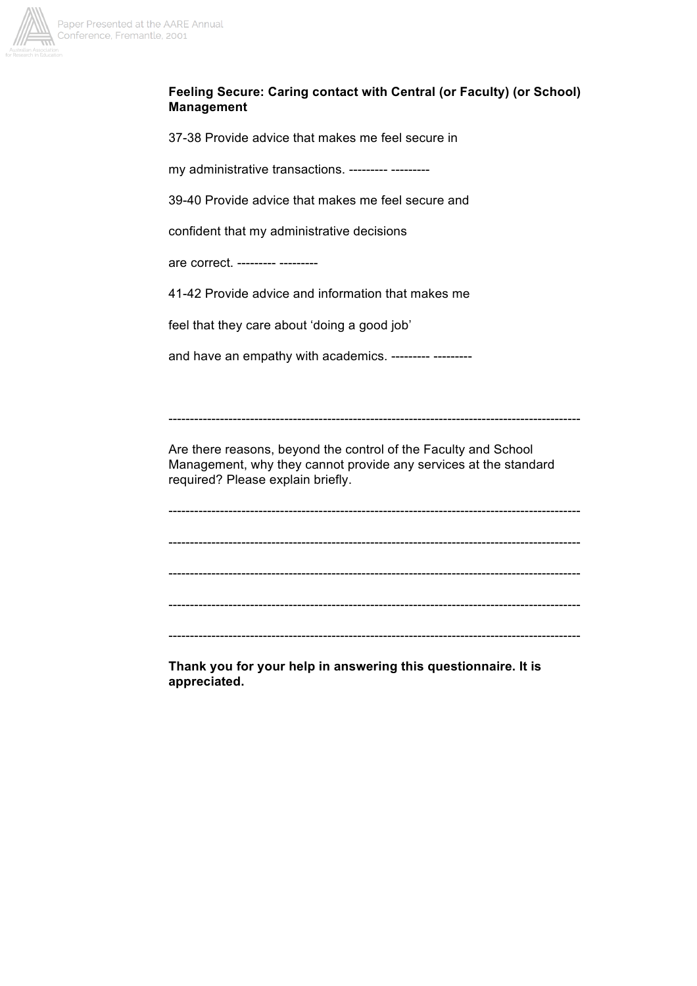

| Paper Presented at the AARE Annual<br>Conference, Fremantle, 2001 |  |
|-------------------------------------------------------------------|--|
|                                                                   |  |

| Feeling Secure: Caring contact with Central (or Faculty) (or School) |
|----------------------------------------------------------------------|
| Management                                                           |

37-38 Provide advice that makes me feel secure in

my administrative transactions. --------- ---------

39-40 Provide advice that makes me feel secure and

confident that my administrative decisions

are correct. --------- ---------

41-42 Provide advice and information that makes me

feel that they care about 'doing a good job'

and have an empathy with academics. --------- ---------

------------------------------------------------------------------------------------------------

Are there reasons, beyond the control of the Faculty and School Management, why they cannot provide any services at the standard required? Please explain briefly.

 $-$ ------------------------------------------------------------------------------------------------ ------------------------------------------------------------------------------------------------ ------------------------------------------------------------------------------------------------ ------------------------------------------------------------------------------------------------

**Thank you for your help in answering this questionnaire. It is appreciated.**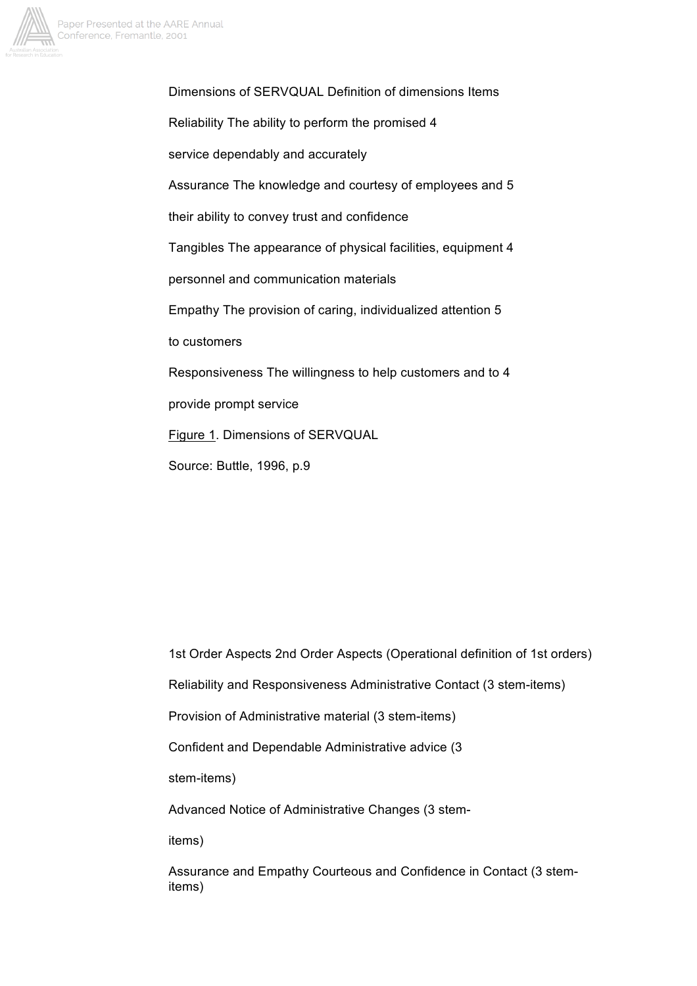

Dimensions of SERVQUAL Definition of dimensions Items Reliability The ability to perform the promised 4 service dependably and accurately Assurance The knowledge and courtesy of employees and 5 their ability to convey trust and confidence Tangibles The appearance of physical facilities, equipment 4 personnel and communication materials Empathy The provision of caring, individualized attention 5 to customers Responsiveness The willingness to help customers and to 4 provide prompt service Figure 1. Dimensions of SERVQUAL Source: Buttle, 1996, p.9

1st Order Aspects 2nd Order Aspects (Operational definition of 1st orders)

Reliability and Responsiveness Administrative Contact (3 stem-items)

Provision of Administrative material (3 stem-items)

Confident and Dependable Administrative advice (3

stem-items)

Advanced Notice of Administrative Changes (3 stem-

items)

Assurance and Empathy Courteous and Confidence in Contact (3 stemitems)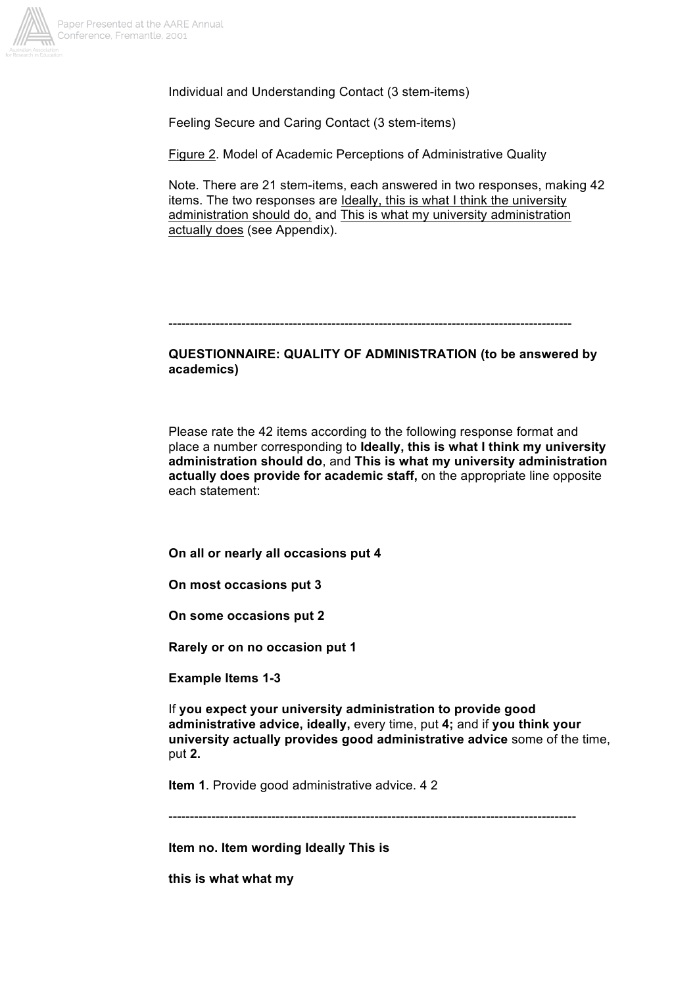

Paper Presented at the AARE Annual Conference, Fremantle, 2001

Individual and Understanding Contact (3 stem-items)

Feeling Secure and Caring Contact (3 stem-items)

Figure 2. Model of Academic Perceptions of Administrative Quality

Note. There are 21 stem-items, each answered in two responses, making 42 items. The two responses are Ideally, this is what I think the university administration should do, and This is what my university administration actually does (see Appendix).

----------------------------------------------------------------------------------------------

#### **QUESTIONNAIRE: QUALITY OF ADMINISTRATION (to be answered by academics)**

Please rate the 42 items according to the following response format and place a number corresponding to **Ideally, this is what I think my university administration should do**, and **This is what my university administration actually does provide for academic staff,** on the appropriate line opposite each statement:

**On all or nearly all occasions put 4**

**On most occasions put 3**

**On some occasions put 2**

**Rarely or on no occasion put 1**

**Example Items 1-3**

If **you expect your university administration to provide good administrative advice, ideally,** every time, put **4;** and if **you think your university actually provides good administrative advice** some of the time, put **2.**

**Item 1**. Provide good administrative advice. 4 2

-----------------------------------------------------------------------------------------------

**Item no. Item wording Ideally This is**

**this is what what my**